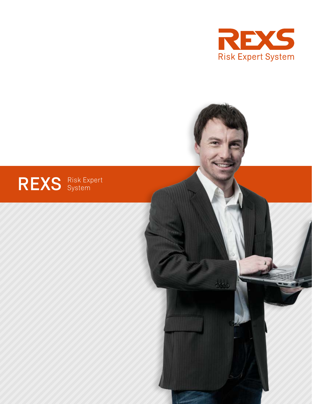



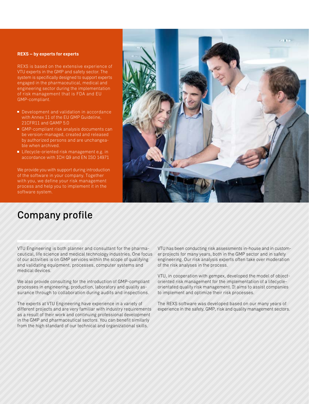#### **REXS – by experts for experts**

REXS is based on the extensive experience of VTU experts in the GMP and safety sector. The system is specifically designed to support experts engaged in the pharmaceutical, medical and engineering sector during the implementation of risk management that is FDA and EU GMP-compliant.

- Development and validation in accordance with Annex 11 of the EU GMP Guideline, 21CFR11 and GAMP 5.0
- GMP-compliant risk analysis documents can be version-managed, created and released by authorized persons and are unchangeable when archived.
- Lifecycle-oriented risk management e.g. in accordance with ICH Q9 and EN ISO 14971

We provide you with support during introduction of the software in your company. Together with you, we define your risk management process and help you to implement it in the software system.

#### Company profile

VTU Engineering is both planner and consultant for the pharmaceutical, life science and medical technology industries. One focus of our activities is on GMP services within the scope of qualifying and validating equipment, processes, computer systems and medical devices.

We also provide consulting for the introduction of GMP-compliant processes in engineering, production, laboratory and quality assurance through to collaboration during audits and inspections.

The experts at VTU Engineering have experience in a variety of different projects and are very familiar with industry requirements as a result of their work and continuing professional development in the GMP and pharmaceutical sectors. You can benefit similarly from the high standard of our technical and organizational skills.

VTU has been conducting risk assessments in-house and in customer projects for many years, both in the GMP sector and in safety engineering. Our risk analysis experts often take over moderation of the risk analyses in the process.

VTU, in cooperation with gempex, developed the model of objectoriented risk management for the implementation of a lifecycleorientated quality risk management. It aims to assist companies to implement and optimize their risk processes.

The REXS software was developed based on our many years of experience in the safety, GMP, risk and quality management sectors.

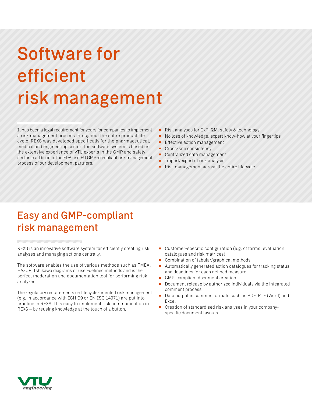# Software for efficient risk management

It has been a legal requirement for years for companies to implement a risk management process throughout the entire product life cycle. REXS was developed specifically for the pharmaceutical, medical and engineering sector. The software system is based on the extensive experience of VTU experts in the GMP and safety sector in addition to the FDA and EU GMP-compliant risk management process of our development partners.

- ó Risk analyses for GxP, QM, safety & technology
- No loss of knowledge, expert know-how at your fingertips m.
- **Effective action management**
- Cross-site consistency
- Centralized data management
- Import/export of risk analysis
- ó Risk management across the entire lifecycle

#### Easy and GMP-compliant risk management

REXS is an innovative software system for efficiently creating risk analyses and managing actions centrally.

The software enables the use of various methods such as FMEA, HAZOP, Ishikawa diagrams or user-defined methods and is the perfect moderation and documentation tool for performing risk analyzes.

The regulatory requirements on lifecycle-oriented risk management (e.g. in accordance with ICH Q9 or EN ISO 14971) are put into practice in REXS. It is easy to implement risk communication in REXS – by reusing knowledge at the touch of a button.

- Customer-specific configuration (e.g. of forms, evaluation catalogues and risk matrices)
- Combination of tabular/graphical methods
- Automatically generated action catalogues for tracking status and deadlines for each defined measure
- GMP-compliant document creation
- Document release by authorized individuals via the integrated comment process
- $\blacksquare$ Data output in common formats such as PDF, RTF (Word) and Excel
- Creation of standardised risk analyses in your companyspecific document layouts

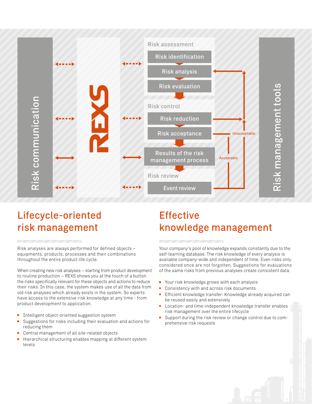

#### Lifecycle-oriented risk management

Risk analyses are always performed for defined objects – equipments, products, processes and their combinations throughout the entire product life cycle.

When creating new risk analyses – starting from product development to routine production – REXS shows you at the touch of a button the risks specifically relevant for these objects and actions to reduce their risks. In this case, the system makes use of all the data from old risk analyses which already exists in the system. So experts have access to the extensive risk knowledge at any time - from product development to application.

- Intelligent object-oriented suggestion system
- $\blacksquare$ Suggestions for risks including their evaluation and actions for reducing them
- Central management of all site-related objects
- Hierarchical structuring enables mapping at different system levels

### Effective knowledge management

Your company's pool of knowledge expands constantly due to the self-learning database. The risk knowledge of every analysis is available company-wide and independent of time. Even risks only considered once are not forgotten. Suggestions for evaluations of the same risks from previous analyses create consistent data.

- Your risk knowledge grows with each analysis
- $\blacksquare$ Consistency with and across risk documents
- Efficient knowledge transfer: Knowledge already acquired can  $\blacksquare$ be reused easily and extensively
- Location- and time-independent knowledge transfer enables risk management over the entire lifecycle
- Support during the risk review or change control due to comprehensive risk requests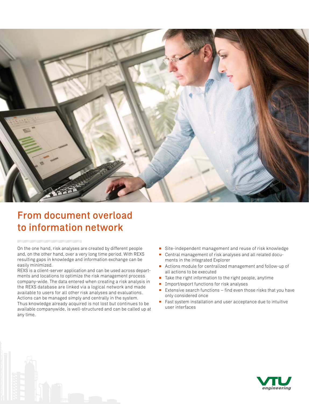

#### From document overload to information network

On the one hand, risk analyses are created by different people and, on the other hand, over a very long time period. With REXS resulting gaps in knowledge and information exchange can be easily minimized.

REXS is a client-server application and can be used across departments and locations to optimize the risk management process company-wide. The data entered when creating a risk analysis in the REXS database are linked via a logical network and made available to users for all other risk analyses and evaluations. Actions can be managed simply and centrally in the system. Thus knowledge already acquired is not lost but continues to be available companywide, is well-structured and can be called up at any time.

- Site-independent management and reuse of risk knowledge
- $\blacksquare$ Central management of risk analyses and all related documents in the integrated Explorer
- Actions module for centralized management and follow-up of all actions to be executed
- Take the right information to the right people, anytime  $\overline{\phantom{a}}$
- $\blacksquare$ Import/export functions for risk analyses
- $\blacksquare$ Extensive search functions – find even those risks that you have only considered once
- Fast system installation and user acceptance due to intuitive  $\blacksquare$ user interfaces